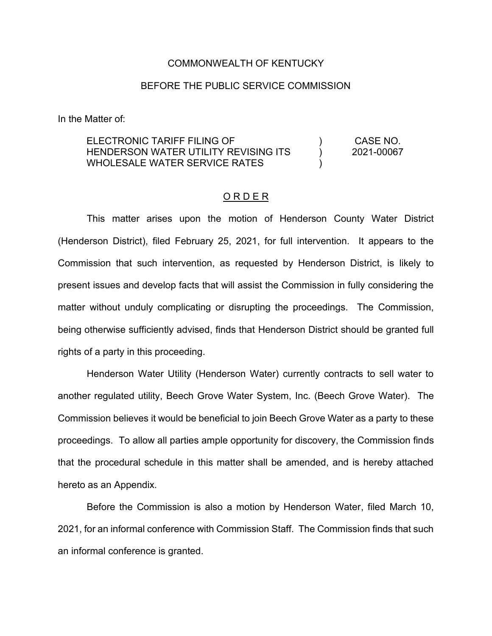### COMMONWEALTH OF KENTUCKY

## BEFORE THE PUBLIC SERVICE COMMISSION

In the Matter of:

ELECTRONIC TARIFF FILING OF HENDERSON WATER UTILITY REVISING ITS WHOLESALE WATER SERVICE RATES ) ) ) CASE NO. 2021-00067

#### O R D E R

This matter arises upon the motion of Henderson County Water District (Henderson District), filed February 25, 2021, for full intervention. It appears to the Commission that such intervention, as requested by Henderson District, is likely to present issues and develop facts that will assist the Commission in fully considering the matter without unduly complicating or disrupting the proceedings. The Commission, being otherwise sufficiently advised, finds that Henderson District should be granted full rights of a party in this proceeding.

Henderson Water Utility (Henderson Water) currently contracts to sell water to another regulated utility, Beech Grove Water System, Inc. (Beech Grove Water). The Commission believes it would be beneficial to join Beech Grove Water as a party to these proceedings. To allow all parties ample opportunity for discovery, the Commission finds that the procedural schedule in this matter shall be amended, and is hereby attached hereto as an Appendix.

Before the Commission is also a motion by Henderson Water, filed March 10, 2021, for an informal conference with Commission Staff. The Commission finds that such an informal conference is granted.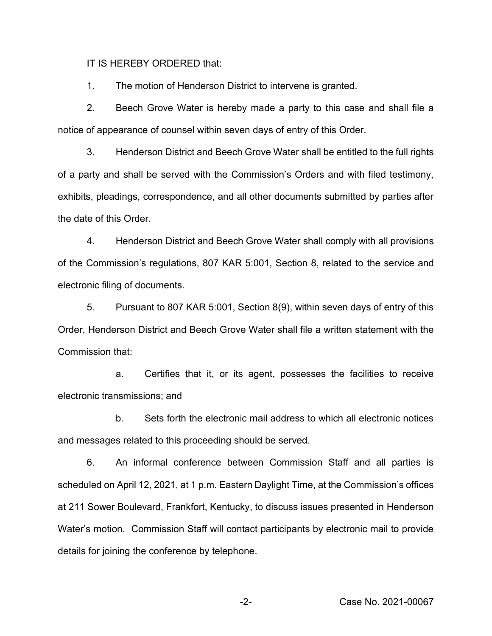IT IS HEREBY ORDERED that:

1. The motion of Henderson District to intervene is granted.

2. Beech Grove Water is hereby made a party to this case and shall file a notice of appearance of counsel within seven days of entry of this Order.

3. Henderson District and Beech Grove Water shall be entitled to the full rights of a party and shall be served with the Commission's Orders and with filed testimony, exhibits, pleadings, correspondence, and all other documents submitted by parties after the date of this Order.

4. Henderson District and Beech Grove Water shall comply with all provisions of the Commission's regulations, 807 KAR 5:001, Section 8, related to the service and electronic filing of documents.

5. Pursuant to 807 KAR 5:001, Section 8(9), within seven days of entry of this Order, Henderson District and Beech Grove Water shall file a written statement with the Commission that:

a. Certifies that it, or its agent, possesses the facilities to receive electronic transmissions; and

b. Sets forth the electronic mail address to which all electronic notices and messages related to this proceeding should be served.

6. An informal conference between Commission Staff and all parties is scheduled on April 12, 2021, at 1 p.m. Eastern Daylight Time, at the Commission's offices at 211 Sower Boulevard, Frankfort, Kentucky, to discuss issues presented in Henderson Water's motion. Commission Staff will contact participants by electronic mail to provide details for joining the conference by telephone.

-2- Case No. 2021-00067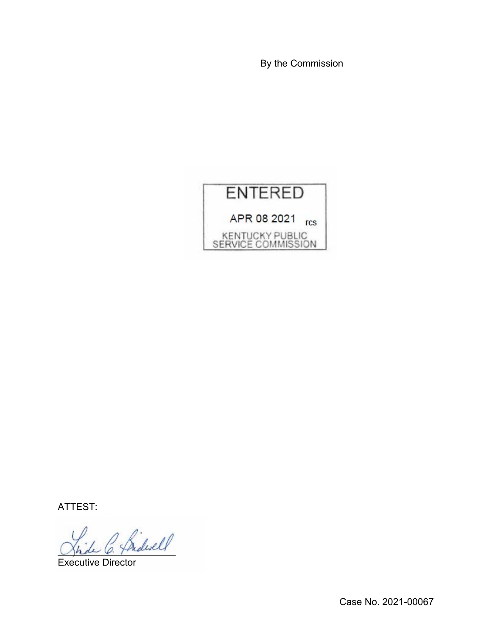By the Commission



ATTEST:

2 Sidwell

Executive Director

Case No. 2021-00067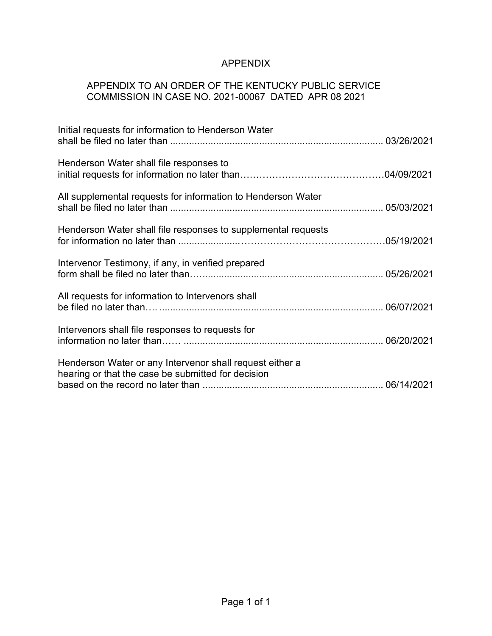# APPENDIX

## APPENDIX TO AN ORDER OF THE KENTUCKY PUBLIC SERVICE COMMISSION IN CASE NO. 2021-00067 DATED APR 08 2021

| Initial requests for information to Henderson Water                                                            |  |
|----------------------------------------------------------------------------------------------------------------|--|
| Henderson Water shall file responses to                                                                        |  |
| All supplemental requests for information to Henderson Water                                                   |  |
| Henderson Water shall file responses to supplemental requests                                                  |  |
| Intervenor Testimony, if any, in verified prepared                                                             |  |
| All requests for information to Intervenors shall                                                              |  |
| Intervenors shall file responses to requests for                                                               |  |
| Henderson Water or any Intervenor shall request either a<br>hearing or that the case be submitted for decision |  |